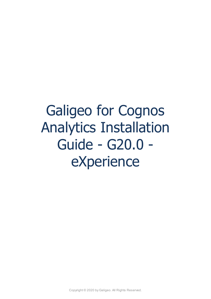# Galigeo for Cognos Analytics Installation Guide - G20.0 eXperience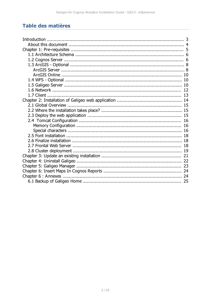# Table des matières

| 10 |
|----|
|    |
|    |
|    |
|    |
|    |
|    |
| 16 |
|    |
| 16 |
|    |
|    |
| 18 |
|    |
|    |
|    |
|    |
|    |
|    |
| 25 |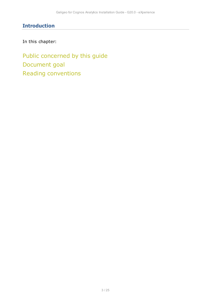# <span id="page-2-0"></span>**Introduction**

In this chapter:

Public concerned by this guide Document goal Reading conventions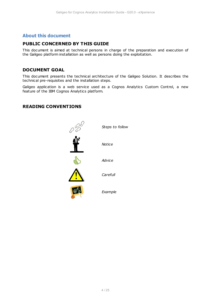## <span id="page-3-0"></span>**About this document**

## **PUBLIC CONCERNED BY THIS GUIDE**

This document is aimed at technical persons in charge of the preparation and execution of the Galigeo platform installation as well as persons doing the exploitation.

## **DOCUMENT GOAL**

This document presents the technical architecture of the Galigeo Solution. It describes the technical pre-requisites and the installation steps.

Galigeo application is a web service used as a Cognos Analytics Custom Control, a new feature of the IBM Cognos Analytics platform.

## **READING CONVENTIONS**

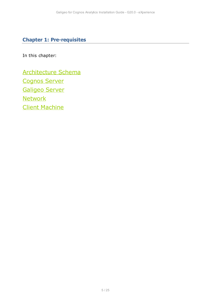# <span id="page-4-0"></span>**Chapter 1: Pre-requisites**

In this chapter:

[Architecture Schema](#page-5-0) [Cognos Server](#page-5-1) [Galigeo Server](#page-9-2) **[Network](#page-11-0)** [Client Machine](#page-12-0)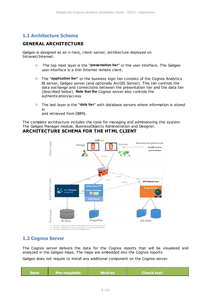## <span id="page-5-0"></span>**1.1 Architecture Schema**

## **GENERAL ARCHITECTURE**

Galigeo is designed as an n-tiers, client-server, architecture deployed on Intranet/Internet:

- o The top most layer is the "**presentation tier**" or the user interface. The Galigeo user interface is a thin Internet remote client.
- o The "**application tier**" or the business logic tier consists of the Cognos Analytics BI server, Galigeo server (and optionally ArcGIS Server). This tier controls the data exchange and connections between the presentation tier and the data tier (described below). **Note that the** Cognos server also controls the authentication/access.
- o The last layer is the "**data tier**" with database servers where information is stored in

and retrieved from DBMS.

The complete architecture includes the tools for managing and administering this system: The Galigeo Manager module, BusinessObjects Administration and Designer. **ARCHITECTURE SCHEMA FOR THE HTML CLIENT**



## <span id="page-5-1"></span>**1.2 Cognos Server**

The Cognos server delivers the data for the Cognos reports that will be visualized and analyzed in the Galigeo maps. The maps are embedded into the Cognos reports.

Galigeo does not require to install any additional component on the Cognos server.

| 'Item | <b>Pre-requisite</b> | <b>Notices</b> | l Check test <i>i</i> |
|-------|----------------------|----------------|-----------------------|
|       |                      |                |                       |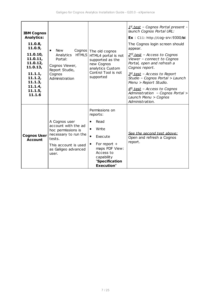| <b>IBM Cognos</b><br><b>Analytics:</b><br>11.0.8,<br>11.0.9,<br>11.0.10,<br>11.0.11,<br>11.0.12,<br>11.0.13,<br>11.1.1,<br>11.1.2,<br>11.1.3,<br>11.1.4,<br>11.1.5,<br>11.1.6 | New<br>Cognos  <br>HTML5<br>Analytics<br>Portal:<br>Cognos Viewer,<br>Report Studio,<br>Cognos<br>Administration                                     | The old cognos<br>HTML4 portal is not<br>supported as the<br>new Cognos<br>analytics Custom<br>Control Tool is not<br>supported                                                                     | 1 <sup>st</sup> test - Cognos Portal present -<br>launch Cognos Portal URL:<br><b>Ex</b> : C11: http://cog-srv:9300/bi<br>The Cognos login screen should<br>appear.<br>2 <sup>nd</sup> test - Access to Cognos<br>Viewer - connect to Cognos<br>Portal, open and refresh a<br>Cognos report.<br>3rd_test - Access to Report<br>Studio - Cognos Portal > Launch<br>Menu > Report Studio.<br>4th test - Access to Cognos<br>Administration - Cognos Portal ><br>Launch Menu > Cognos<br>Administration. |
|-------------------------------------------------------------------------------------------------------------------------------------------------------------------------------|------------------------------------------------------------------------------------------------------------------------------------------------------|-----------------------------------------------------------------------------------------------------------------------------------------------------------------------------------------------------|-------------------------------------------------------------------------------------------------------------------------------------------------------------------------------------------------------------------------------------------------------------------------------------------------------------------------------------------------------------------------------------------------------------------------------------------------------------------------------------------------------|
| <b>Cognos User</b><br><b>Account</b>                                                                                                                                          | A Cognos user<br>account with the ad<br>hoc permissions is<br>necessary to run the<br>tests.<br>This account is used<br>as Galigeo advanced<br>user. | Permissions on<br>reports:<br>Read<br>Write<br>$\bullet$<br>$\bullet$<br>Execute<br>For report $+$<br>$\bullet$<br>maps PDF View:<br>Access to<br>capability<br>"Specification<br><b>Execution"</b> | See the second test above:<br>Open and refresh a Cognos<br>report.                                                                                                                                                                                                                                                                                                                                                                                                                                    |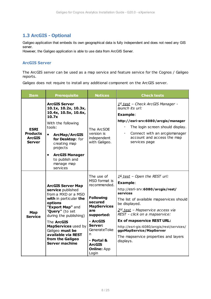# <span id="page-7-0"></span>**1.3 ArcGIS - Optional**

Galigeo application that embeds its own geographical data is fully independent and does not need any GIS server.

However, the Galigeo application is able to use data from ArcGIS Server.

### <span id="page-7-1"></span>**ArcGIS Server**

The ArcGIS server can be used as a map service and feature service for the Cognos / Galigeo reports.

Galigeo does not require to install any additional component on the ArcGIS server.

| <b>Item</b>                                                      | <b>Prerequisite</b>                                                                                                                                                                                                                      | <b>Notices</b>                                                                                         | <b>Check tests</b>                                                                                                                                                                                                                                   |
|------------------------------------------------------------------|------------------------------------------------------------------------------------------------------------------------------------------------------------------------------------------------------------------------------------------|--------------------------------------------------------------------------------------------------------|------------------------------------------------------------------------------------------------------------------------------------------------------------------------------------------------------------------------------------------------------|
| <b>ESRI</b><br><b>Products</b><br><b>ArcGIS</b><br><b>Server</b> | <b>ArcGIS Server</b><br>10.1x, 10.2x, 10.3x,<br>10.4x, 10.5x, 10.6x,<br>10.7x<br>With the following<br>tools:<br><b>ArcMap/ArcGIS</b><br>$\bullet$<br>for Desktop: for<br>creating map<br>projects<br><b>ArcGIS Manager</b><br>$\bullet$ | The ArcSDE<br>version is<br>independent<br>with Galigeo.                                               | 1st_test - Check ArcGIS Manager -<br>launch its url:<br><b>Example:</b><br>http://esri-srv:6080/arcgis/manager<br>The login screen should display.<br>$\blacksquare$<br>Connect with an arcgismanager<br>account and access the map<br>services page |
|                                                                  | to publish and<br>manage map<br>services                                                                                                                                                                                                 |                                                                                                        |                                                                                                                                                                                                                                                      |
|                                                                  | <b>ArcGIS Server Map</b><br>service published<br>from a MXD or a MSD<br>with in particular the<br>options<br>"Export Map" and                                                                                                            | The use of<br>MSD format is<br>recommended.<br><b>Following</b><br>secured<br><b>MapServices</b>       | $1st$ test - Open the REST url:<br><b>Example:</b><br>http://esri-srv:6080/arcgis/rest/<br>services<br>The list of available mapservices should<br>be displayed.                                                                                     |
| Map<br><b>Service</b>                                            | "Query" (to set<br>during the publishing)                                                                                                                                                                                                | are<br>supported:                                                                                      | 2 <sup>nd</sup> test - Mapservice access via<br>REST - click on a mapservice:<br><b>Ex of mapservice REST URL:</b>                                                                                                                                   |
|                                                                  | The <b>ArcGIS</b><br>MapServices used by<br>Galigeo must be<br>available via REST<br>from the Galigeo<br><b>Server machine</b>                                                                                                           | - ArcGIS<br>Server:<br>GenerateToke<br>n<br>- Portal &<br><b>ArcGIS</b><br><b>Online: App</b><br>Login | http://esri-gis:6080/arcgis/rest/services/<br>ggoMapService/MapServer<br>The mapservice properties and layers<br>displays.                                                                                                                           |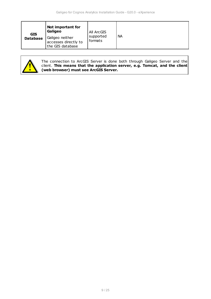| <b>GIS</b>      | Not important for<br>Galigeo                                | All ArcGIS           |           |
|-----------------|-------------------------------------------------------------|----------------------|-----------|
| <b>Database</b> | Galigeo neither<br>accesses directly to<br>the GIS database | supported<br>formats | <b>NA</b> |



The connection to ArcGIS Server is done both through Galigeo Server and the client. **This means that the application server, e.g. Tomcat, and the client (web browser) must see ArcGIS Server.**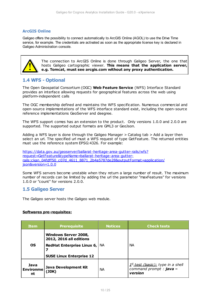#### <span id="page-9-0"></span>**ArcGIS Online**

Galigeo offers the possibility to connect automatically to ArcGIS Online (AGOL) to use the Drive Time service, for example. The credentials are activated as soon as the appropriate license key is declared in Galigeo Administration console.



The connection to ArcGIS Online is done through Galigeo Server, the one that hosts Galigeo cartographic viewer. **This means that the application server, e.g. Tomcat, must see arcgis.com without any proxy authentication.**

## <span id="page-9-1"></span>**1.4 WFS - Optional**

The Open Geospatial Consortium (OGC) **Web Feature Service** (WFS) Interface Standard provides an interface allowing requests for geographical features across the web using platform-independent calls

The OGC membership defined and maintains the WFS specification. Numerous commercial and open-source implementations of the WFS interface standard exist, including the open-source reference implementations GeoServer and deegree.

The WFS support comes has an extension to the product. Only versions 1.0.0 and 2.0.0 are supported. The supported output formats are GML3 or GeoJson.

Adding a WFS layer is done through the Galigeo Manager > Catalog tab > Add a layer then select an url. The specified url must a WFS request of type GetFeature. The returned entities must use the reference system EPSG:4326. For example:

[https://data.gov.au/geoserver/ballarat-heritage-area-gutter-rails/wfs?](https://data.gov.au/geoserver/ballarat-heritage-area-gutter-rails/wfs?request=GetFeature&typeName=ballarat-heritage-area-gutter-rails:ckan_04fdff50_c07d_4611_8871_2b4a5787de28&outputFormat=application/json&version=1.0.0) [request=GetFeature&typeName=ballarat-heritage-area-gutter](https://data.gov.au/geoserver/ballarat-heritage-area-gutter-rails/wfs?request=GetFeature&typeName=ballarat-heritage-area-gutter-rails:ckan_04fdff50_c07d_4611_8871_2b4a5787de28&outputFormat=application/json&version=1.0.0)[rails:ckan\\_04fdff50\\_c07d\\_4611\\_8871\\_2b4a5787de28&outputFormat=application/](https://data.gov.au/geoserver/ballarat-heritage-area-gutter-rails/wfs?request=GetFeature&typeName=ballarat-heritage-area-gutter-rails:ckan_04fdff50_c07d_4611_8871_2b4a5787de28&outputFormat=application/json&version=1.0.0) [json&version=1.0.0](https://data.gov.au/geoserver/ballarat-heritage-area-gutter-rails/wfs?request=GetFeature&typeName=ballarat-heritage-area-gutter-rails:ckan_04fdff50_c07d_4611_8871_2b4a5787de28&outputFormat=application/json&version=1.0.0)

Some WFS servers become unstable when they return a large number of result. The maximum number of records can be limited by adding the url the parameter "maxFeatures" for versions 1.0.0 or "count" for versions 2.0.0.

## <span id="page-9-2"></span>**1.5 Galigeo Server**

The Galigeo server hosts the Galigeo web module.

#### **Softwares pre-requisites:**

| <b>Item</b>                    | <b>Prerequisite</b>                                                                  | <b>Notices</b> | <b>Check tests</b>                                                                  |  |
|--------------------------------|--------------------------------------------------------------------------------------|----------------|-------------------------------------------------------------------------------------|--|
| OS.                            | <b>Windows Server 2008,</b><br>2012, 2016 all editions<br>RedHat Enterprise Linux 6, | NA.            | <b>NA</b>                                                                           |  |
|                                | <b>SUSE Linux Enterprise 12</b>                                                      |                |                                                                                     |  |
| Java<br><b>Environme</b><br>nt | Java Development Kit<br>(JDK)                                                        | <b>NA</b>      | 1 <sup>st</sup> test (basic): type in a shell<br>command prompt : java -<br>version |  |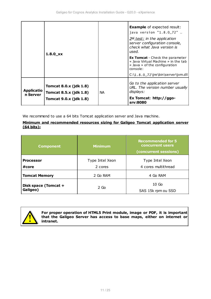|                               | $1.8.0$ <i>xx</i>                                                                               |    | <b>Example</b> of expected result:<br>java version "1.8.0_72"<br>$2nd$ test: in the application<br>server configuration console,<br>check what Java version is<br>used.<br><b>Ex Tomcat</b> - Check the parameter<br>« Java Virtual Machine » in the tab<br>« Java » of the configuration<br>console:<br>$C:\1.8.0_72\ire\bin\server\jvm.dl$ |
|-------------------------------|-------------------------------------------------------------------------------------------------|----|----------------------------------------------------------------------------------------------------------------------------------------------------------------------------------------------------------------------------------------------------------------------------------------------------------------------------------------------|
| <b>Applicatio</b><br>n Server | <b>Tomcat 8.0.x (jdk 1.8)</b><br><b>Tomcat 8.5.x (jdk 1.8)</b><br><b>Tomcat 9.0.x (jdk 1.8)</b> | NA | Go to the application server<br>URL. The version number usually<br>displays:<br>Ex Tomcat: http://ggo-<br>srv:8080                                                                                                                                                                                                                           |

We recommend to use a 64 bits Tomcat application server and Java machine.

#### **Minimum and recommended resources sizing for Galigeo Tomcat application server (64 bits):**

| <b>Component</b>                 | <b>Minimum</b>  | <b>Recommended for 5</b><br>concurrent users<br>(concurrent sessions) |
|----------------------------------|-----------------|-----------------------------------------------------------------------|
| <b>Processor</b>                 | Type Intel Xeon | Type Intel Xeon                                                       |
| #core                            | 2 cores         | 4 cores multithread                                                   |
| <b>Tomcat Memory</b>             | 2 Go RAM        | 4 Go RAM                                                              |
| Disk space (Tomcat +<br>Galigeo) | $2$ Go          | 10 <sub>Go</sub><br>SAS 15k rpm ou SSD                                |



**For proper operation of HTML5 Print module, image or PDF, it is important that the Galigeo Server has access to base maps, either on internet or intranet.**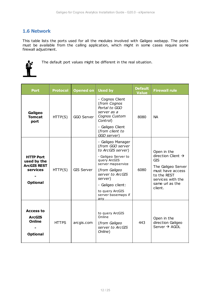## <span id="page-11-0"></span>**1.6 Network**

This table lists the ports used for all the modules involved with Galigeo webapp. The ports must be available from the calling application, which might in some cases require some firewall adjustment.



The default port values might be different in the real situation.

| <b>Port</b>                                                                          | <b>Protocol</b> | <b>Opened on</b>  | <b>Used by</b>                                                                                                                                                                                                                                             | <b>Default</b><br><b>Value</b> | <b>Firewall rule</b>                                                                                                                                                    |
|--------------------------------------------------------------------------------------|-----------------|-------------------|------------------------------------------------------------------------------------------------------------------------------------------------------------------------------------------------------------------------------------------------------------|--------------------------------|-------------------------------------------------------------------------------------------------------------------------------------------------------------------------|
| Galigeo<br><b>Tomcat</b><br>port                                                     | HTTP(S)         | GGO Server        | - Cognos Client<br>(from Cognos<br>Portal to GGO<br>server as a<br>Cognos Custom<br>Control)<br>- Galigeo Client<br>(from client to                                                                                                                        | 8080                           | <b>NA</b>                                                                                                                                                               |
| <b>HTTP Port</b><br>used by the<br><b>ArcGIS REST</b><br>services<br><b>Optional</b> | HTTP(S)         | <b>GIS Server</b> | GGO server)<br>- Galigeo Manager<br>(from GGO server<br>to ArcGIS server)<br>- Galigeo Server to<br>query ArcGIS<br>server mapservice<br>(from Galigeo<br>server to ArcGIS<br>server)<br>- Galigeo client:<br>to query ArcGIS<br>server basemaps if<br>any | 6080                           | Open in the<br>direction Client $\rightarrow$<br><b>GIS</b><br>The Galigeo Server<br>must have access<br>to the REST<br>services with the<br>same url as the<br>client. |
| <b>Access to</b><br><b>ArcGIS</b><br><b>Online</b><br><b>Optional</b>                | <b>HTTPS</b>    | arcgis.com        | to query ArcGIS<br>Online<br>(from Galigeo<br>server to ArcGIS<br>Online)                                                                                                                                                                                  | 443                            | Open in the<br>direction Galigeo<br>Server $\rightarrow$ AGOL                                                                                                           |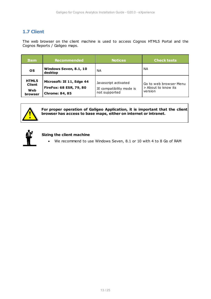# <span id="page-12-0"></span>**1.7 Client**

The web browser on the client machine is used to access Cognos HTML5 Portal and the Cognos Reports / Galigeo maps.

| <b>Item</b>                                            | <b>Recommended</b>                                                            | <b>Notices</b>                                                    | <b>Check tests</b>                                       |
|--------------------------------------------------------|-------------------------------------------------------------------------------|-------------------------------------------------------------------|----------------------------------------------------------|
| <b>OS</b>                                              | Windows Seven, 8.1, 10<br>desktop                                             | ΝA                                                                | NА                                                       |
| <b>HTML5</b><br><b>Client</b><br>Web<br><b>browser</b> | Microsoft: IE 11, Edge 44<br>FireFox: 68 ESR, 79, 80<br><b>Chrome: 84, 85</b> | Javascript activated<br>IE compatibility mode is<br>not supported | Go to web browser Menu<br>> About to know its<br>version |



## **For proper operation of Galigeo Application, it is important that the client browser has access to base maps, either on internet or intranet.**



#### **Sizing the client machine**

· We recommend to use Windows Seven, 8.1 or 10 with 4 to 8 Go of RAM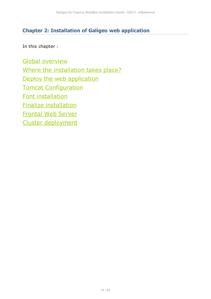# <span id="page-13-0"></span>**Chapter 2: Installation of Galigeo web application**

In this chapter :

[Global overview](#page-14-0) [Where the installation takes place?](#page-14-1) [Deploy the web application](#page-14-2) [Tomcat Configuration](#page-15-0) [Font installation](#page-17-0) [Finalize installation](#page-17-1) [Frontal Web Server](#page-17-2) [Cluster deployment](#page-18-0)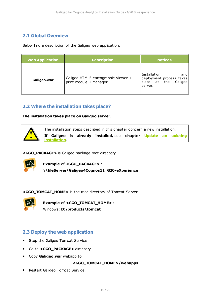# <span id="page-14-0"></span>**2.1 Global Overview**

Below find a description of the Galigeo web application.

| <b>Web Application</b> | <b>Description</b>                                            | <b>Notices</b>                                                                           |
|------------------------|---------------------------------------------------------------|------------------------------------------------------------------------------------------|
| Galigeo.war            | Galigeo HTML5 cartographic viewer +<br>print module + Manager | Installation<br>and<br>deployment process takes<br>place at<br>the<br>Galigeo<br>server. |

## <span id="page-14-1"></span>**2.2 Where the installation takes place?**

**The installation takes place on Galigeo server**.



**<GGO\_PACKAGE>** is Galigeo package root directory.



**Example** of <**GGO\_PACKAGE>** : **\\fileServer\Galigeo4Cognos11\_G20-eXperience**

**<GGO\_TOMCAT\_HOME>** is the root directory of Tomcat Server.



**Example** of **<GGO\_TOMCAT\_HOME>** : Windows: **D:\products\tomcat**

## <span id="page-14-2"></span>**2.3 Deploy the web application**

- · Stop the Galigeo Tomcat Service
- · Go to **<GGO\_PACKAGE>** directory
- · Copy **Galigeo.war** webapp to

#### **<GGO\_TOMCAT\_HOME>/webapps**

· Restart Galigeo Tomcat Service.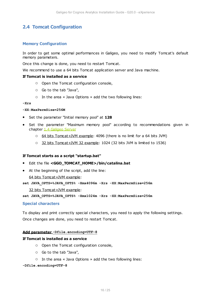## <span id="page-15-0"></span>**2.4 Tomcat Configuration**

#### <span id="page-15-1"></span>**Memory Configuration**

In order to get some optimal performances in Galigeo, you need to modify Tomcat's default memory parameters.

Once this change is done, you need to restart Tomcat.

We recommend to use a 64 bits Tomcat application server and Java machine.

#### **If Tomcat is installed as a service**

- o Open the Tomcat configuration console,
- o Go to the tab "Java",
- o In the area « Java Options » add the two following lines:

**-Xrs**

#### **-XX:MaxPermSize=256M**

- · Set the parameter "Initial memory pool" at **128**
- · Set the parameter "Maximum memory pool" according to recommendations given in chapter [1.4 Galigeo Server](#page-9-2)
	- 64 bits Tomcat+JVM example: 4096 (there is no limit for a 64 bits JVM)
	- o 32 bits Tomcat+JVM 32 example: 1024 (32 bits JVM is limited to 1536)

#### **If Tomcat starts as a script "startup.bat"**

#### · Edit the file **<GGO\_TOMCAT\_HOME>/bin/catalina.bat**

· At the beginning of the script, add the line:

64 bits Tomcat+JVM example:

**set JAVA\_OPTS=%JAVA\_OPTS% -Xmx4096m -Xrs -XX:MaxPermSize=256m**

32 bits Tomcat+JVM example:

**set JAVA\_OPTS=%JAVA\_OPTS% -Xmx1024m -Xrs -XX:MaxPermSize=256m**

#### <span id="page-15-2"></span>**Special characters**

To display and print correctly special characters, you need to apply the following settings. Once changes are done, you need to restart Tomcat.

#### **Add parameter -Dfile.encoding=UTF-8**

#### **If Tomcat is installed as a service**

- o Open the Tomcat configuration console,
- o Go to the tab "Java",
- o In the area « Java Options » add the two following lines:

#### **-Dfile.encoding=UTF-8**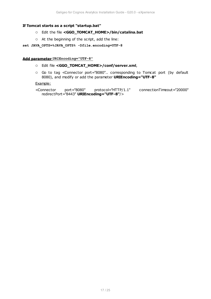#### **If Tomcat starts as a script "startup.bat"**

- o Edit the file **<GGO\_TOMCAT\_HOME>/bin/catalina.bat**
- o At the beginning of the script, add the line:

#### **set JAVA\_OPTS=%JAVA\_OPTS% -Dfile.encoding=UTF-8**

#### **Add parameter URIEncoding="UTF-8"**

- o Edit file **<GGO\_TOMCAT\_HOME>/conf/server.xml**,
- o Go to tag <Connector port="8080".. corresponding to Tomcat port (by default 8080), and modify or add the parameter **URIEncoding="UTF-8"**

#### Example:

```
<Connector port="8080" protocol="HTTP/1.1" connectionTimeout="20000"
redirectPort="8443" URIEncoding="UTF-8"/>
```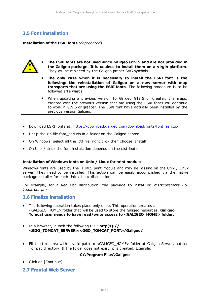## <span id="page-17-0"></span>**2.5 Font installation**

**Installation of the ESRI fonts** *(deprecated)*

- · **The ESRI fonts are not used since Galigeo G19.5 and are not provided in the Galigeo package. It is useless to install them on a virgin platform**. They will be replaced by the Galigeo proper SVG symbols.
	- · **The only case when it is necessary to install the ESRI font is the following: the reinstallation of Galigeo on a new server with map transports that are using the ESRI fonts**. The following procedure is to be followed afterwards.
	- · When updating a previous version to Galigeo G19.5 or greater, the maps, created with the previous version that are using the ESRI fonts will continue to work in G19.5 or greater. The ESRI font have actually been installed by the previous version Galigeo.
- Download ESRI fonts at: [https://download.galigeo.com/download/fonts/font\\_esri.zip](https://download.galigeo.com/download/fonts/font_esri.zip)
- Unzip the zip file font\_esri.zip in a folder on the Galigeo server
- · On Windows, select all the .ttf file, right click then choose "Install"
- · On Unix / Linux the font installation depends on the distribution

#### **Installation of Windows fonts on Unix / Linux for print module**

Windows fonts are used by the HTML5 print module and may be missing on the Unix / Linux server. They need to be installed. This action can be easily accomplished via the native package installer for each Unix / Linux distribution.

For example, for a Red Hat distribution, the package to install is: *msttcorefonts-2.5- 1.noarch.rpm*

## <span id="page-17-1"></span>**2.6 Finalize installation**

- · The following operation takes place only once. This operation creates a <GALIGEO\_HOME> folder that will be used to store the Galigeo resources. **Galigeo Tomcat user needs to have read/write access to <GALIGEO\_HOME> folder.**
- · In a browser, launch the following URL: **http(s):// <GGO\_TOMCAT\_SERVER>:<GGO\_TOMCAT\_PORT>/Galigeo/**
- Fill the text area with a valid path to <GALIGEO HOME> folder at Galigeo Server, outside Tomcat directory. If the folder does not exist, it is created. Example:

#### **C:\Program Files\Galigeo**

• Click on [Continue]

## <span id="page-17-2"></span>**2.7 Frontal Web Server**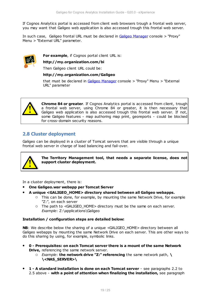If Cognos Analytics portal is accessed from client web browsers trough a frontal web server, you may want that Galigeo web application is also accessed trough this frontal web server.

In such case, Galigeo frontal URL must be declared in [Galigeo Manager](#page-22-0) console > "Proxy" Menu > "External URL" parameter.



**For example**, if Cognos portal client URL is:

#### **http://my.organization.com/bi**

Then Galigeo client URL could be:

#### **http://my.organization.com/Galigeo**

that must be declared in [Galigeo Manager](#page-22-0) console > "Proxy" Menu > "External URL" parameter



**Chrome 84 or greater**. If Cognos Analytics portal is accessed from client, trough a frontal web server, using Chrome 84 or greater, it is then necessary that Galigeo web application is also accessed trough this frontal web server. If not, some Galigeo features - map authoring map print, georeports - could be blocked for cross-domain security reasons.

## <span id="page-18-0"></span>**2.8 Cluster deployment**

Galigeo can be deployed in a cluster of Tomcat servers that are visible through a unique frontal web server in charge of load balancing and fail-over.



**The Territory Management tool, that needs a separate license, does not support cluster deployment.**

In a cluster deployment, there is:

- · **One Galigeo.war webapp per Tomcat Server**
	- · **A unique <GALIGEO\_HOME> directory shared between all Galigeo webapps.**
		- o This can be done, for example, by mounting the same Network Drive, for example "Z:", on each server
		- o The path to <GALIGEO\_HOME> directory must be the same on each server. *Example*: Z:\applications\Galigeo

#### **Installation / configuration steps are detailed below:**

**NB:** We describe below the sharing of a unique <GALIGEO\_HOME> directory between all Galigeo webapps by mounting the same Network Drive on each server. This are other ways to do this sharing by using, for example, symbolic links.

- · **0 Prerequisites: on each Tomcat server there is a mount of the same Network Drive,** referencing the same network server.
	- o *Example*: **the network drive "Z:" referencing** the same network path, **\ \<NAS\_SERVER>\**
- · **1 A standard installation is done on each Tomcat server** see paragraphs 2.2 to 2.5 above - **with a point of attention when finalizing the installation,** see paragraph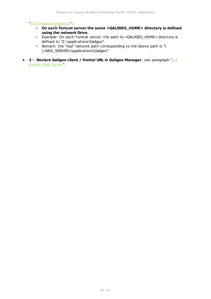#### ["2.5 Finalize installation](#page-17-1)":

- o **On each Tomcat server the same <GALIGEO\_HOME> directory is defined using the network Drive**.
- o *Example*: On each Tomcat server, the path to <GALIGEO\_HOME> directory is defined to "Z:\applications\Galigeo"
- o *Remark*: the "real" network path corresponding to the above path is "\ \<NAS\_SERVER>\applications\Galigeo"
- · **2 Declare Galigeo client / frontal URL in Galigeo Manager**: see paragraph ["2.6](#page-17-2) [Frontal Web Server"](#page-17-2).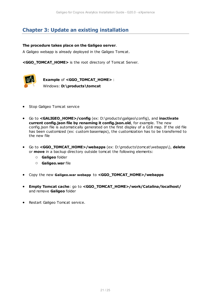# <span id="page-20-0"></span>**Chapter 3: Update an existing installation**

#### **The procedure takes place on the Galigeo server**.

A Galigeo webapp is already deployed in the Galigeo Tomcat.

**<GGO\_TOMCAT\_HOME>** is the root directory of Tomcat Server.



**Example** of **<GGO\_TOMCAT\_HOME>** : Windows: **D:\products\tomcat**

- · Stop Galigeo Tomcat service
- · Go to **<GALIGEO\_HOME>/config** (ex: D:\products\galigeo\config), and **inactivate current config.json file by renaming it config.json.old**, for example. The new config.json file is automatically generated on the first display of a G18 map. If the old file has been customized (ex: custom basemaps), the customization has to be transferred to the new file
- · Go to **<GGO\_TOMCAT\_HOME>/webapps** (ex: D:\products\tomcat\webapps\), **delete** or **move** in a backup directory outside tomcat the following elements:
	- o **Galigeo** folder
	- o **Galigeo.war** file
- · Copy the new **Galigeo.war webapp** to **<GGO\_TOMCAT\_HOME>/webapps**
- · **Empty Tomcat cache**: go to **<GGO\_TOMCAT\_HOME>/work/Catalina/localhost/** and remove **Galigeo** folder
- · Restart Galigeo Tomcat service.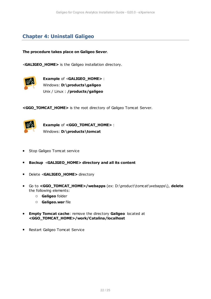# <span id="page-21-0"></span>**Chapter 4: Uninstall Galigeo**

**The procedure takes place on Galigeo Sever**.

<**GALIGEO\_HOME>** is the Galigeo installation directory.



**Example** of <**GALIGEO\_HOME>** : Windows: **D:\products\galigeo** Unix / Linux : **/products/galigeo**

**<GGO\_TOMCAT\_HOME>** is the root directory of Galigeo Tomcat Server.



**Example** of **<GGO\_TOMCAT\_HOME>** : Windows: **D:\products\tomcat**

- · Stop Galigeo Tomcat service
- · **Backup** <**GALIGEO\_HOME> directory and all its content**
- · Delete <**GALIGEO\_HOME>** directory
- · Go to **<GGO\_TOMCAT\_HOME>/webapps** (ex: D:\product\tomcat\webapps\), **delete** the following elements:
	- o **Galigeo** folder
	- o **Galigeo.war** file
- · **Empty Tomcat cache**: remove the directory **Galigeo** located at **<GGO\_TOMCAT\_HOME>/work/Catalina/localhost**
- · Restart Galigeo Tomcat Service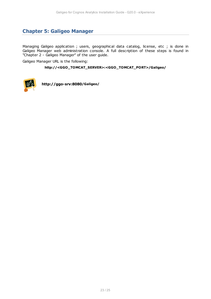# <span id="page-22-0"></span>**Chapter 5: Galigeo Manager**

Managing Galigeo application ; users, geographical data catalog, license, etc ; is done in Galigeo Manager web administration console. A full description of these steps is found in "Chapter 2 - Galigeo Manager" of the user guide.

Galigeo Manager URL is the following:

#### **http://<GGO\_TOMCAT\_SERVER>:<GGO\_TOMCAT\_PORT>/Galigeo/**



**http://ggo-srv:8080/Galigeo/**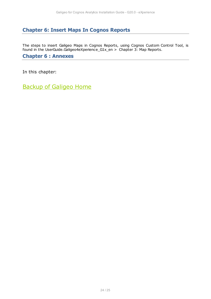# <span id="page-23-0"></span>**Chapter 6: Insert Maps In Cognos Reports**

The steps to insert Galigeo Maps in Cognos Reports, using Cognos Custom Control Tool, is found in the UserGuide.Galigeo4eXperience\_G1x\_en > Chapter 3: Map Reports.

## <span id="page-23-1"></span>**Chapter 6 : Annexes**

In this chapter:

[Backup of Galigeo Home](#page-24-0)